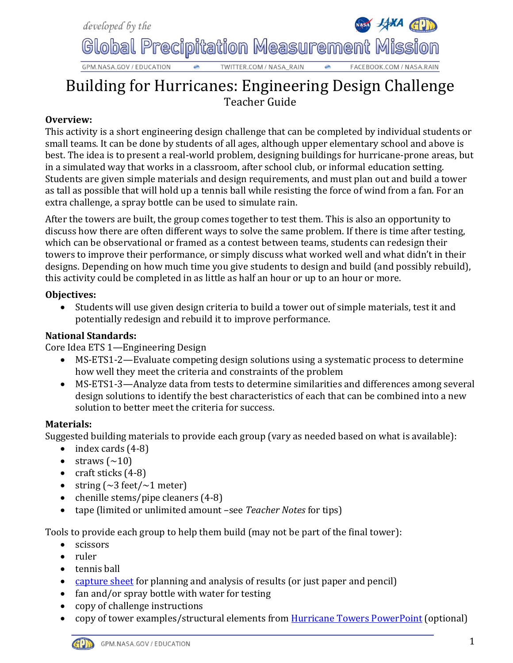

# Building for Hurricanes: Engineering Design Challenge Teacher Guide

## **Overview:**

This activity is a short engineering design challenge that can be completed by individual students or small teams. It can be done by students of all ages, although upper elementary school and above is best. The idea is to present a real-world problem, designing buildings for hurricane-prone areas, but in a simulated way that works in a classroom, after school club, or informal education setting. Students are given simple materials and design requirements, and must plan out and build a tower as tall as possible that will hold up a tennis ball while resisting the force of wind from a fan. For an extra challenge, a spray bottle can be used to simulate rain.

After the towers are built, the group comes together to test them. This is also an opportunity to discuss how there are often different ways to solve the same problem. If there is time after testing, which can be observational or framed as a contest between teams, students can redesign their towers to improve their performance, or simply discuss what worked well and what didn't in their designs. Depending on how much time you give students to design and build (and possibly rebuild), this activity could be completed in as little as half an hour or up to an hour or more.

#### **Objectives:**

 Students will use given design criteria to build a tower out of simple materials, test it and potentially redesign and rebuild it to improve performance.

### **National Standards:**

Core Idea ETS 1—Engineering Design

- MS-ETS1-2—Evaluate competing design solutions using a systematic process to determine how well they meet the criteria and constraints of the problem
- MS-ETS1-3—Analyze data from tests to determine similarities and differences among several design solutions to identify the best characteristics of each that can be combined into a new solution to better meet the criteria for success.

### **Materials:**

Suggested building materials to provide each group (vary as needed based on what is available):

- $\bullet$  index cards  $(4-8)$
- straws  $(\sim 10)$
- craft sticks  $(4-8)$
- string  $(\sim 3 \text{ feet}/\sim 1 \text{ meter})$
- chenille stems/pipe cleaners (4-8)
- tape (limited or unlimited amount –see *Teacher Notes* for tips)

Tools to provide each group to help them build (may not be part of the final tower):

- scissors
- ruler
- tennis ball
- [capture sheet](http://gpm.nasa.gov/education/sites/default/files/interactive_files3/Hurricane%20Towers%20SCS.pdf) for planning and analysis of results (or just paper and pencil)
- fan and/or spray bottle with water for testing
- copy of challenge instructions
- copy of tower examples/structural elements from [Hurricane Towers PowerPoint](http://gpm.nasa.gov/education/sites/default/files/interactive_files3/Hurricane%20Towers%20PP.pdf) (optional)

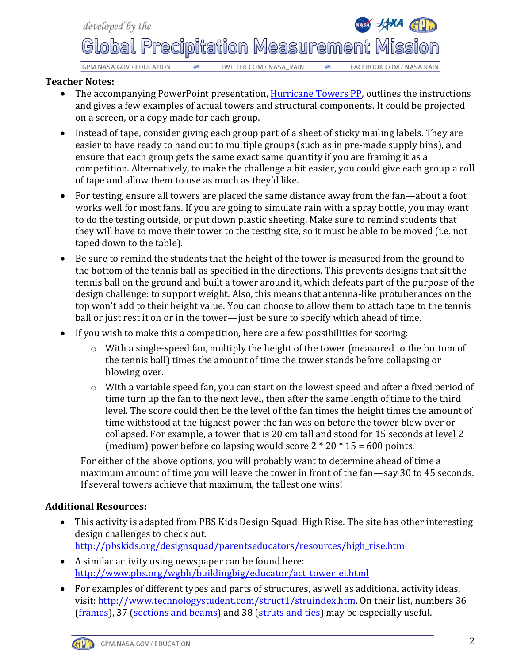

#### **Teacher Notes:**

- The accompanying PowerPoint presentation, [Hurricane Towers PP,](http://gpm.nasa.gov/education/sites/default/files/interactive_files3/Hurricane%20Towers%20PP.pdf) outlines the instructions and gives a few examples of actual towers and structural components. It could be projected on a screen, or a copy made for each group.
- Instead of tape, consider giving each group part of a sheet of sticky mailing labels. They are easier to have ready to hand out to multiple groups (such as in pre-made supply bins), and ensure that each group gets the same exact same quantity if you are framing it as a competition. Alternatively, to make the challenge a bit easier, you could give each group a roll of tape and allow them to use as much as they'd like.
- For testing, ensure all towers are placed the same distance away from the fan—about a foot works well for most fans. If you are going to simulate rain with a spray bottle, you may want to do the testing outside, or put down plastic sheeting. Make sure to remind students that they will have to move their tower to the testing site, so it must be able to be moved (i.e. not taped down to the table).
- Be sure to remind the students that the height of the tower is measured from the ground to the bottom of the tennis ball as specified in the directions. This prevents designs that sit the tennis ball on the ground and built a tower around it, which defeats part of the purpose of the design challenge: to support weight. Also, this means that antenna-like protuberances on the top won't add to their height value. You can choose to allow them to attach tape to the tennis ball or just rest it on or in the tower—just be sure to specify which ahead of time.
- If you wish to make this a competition, here are a few possibilities for scoring:
	- o With a single-speed fan, multiply the height of the tower (measured to the bottom of the tennis ball) times the amount of time the tower stands before collapsing or blowing over.
	- o With a variable speed fan, you can start on the lowest speed and after a fixed period of time turn up the fan to the next level, then after the same length of time to the third level. The score could then be the level of the fan times the height times the amount of time withstood at the highest power the fan was on before the tower blew over or collapsed. For example, a tower that is 20 cm tall and stood for 15 seconds at level 2 (medium) power before collapsing would score  $2 * 20 * 15 = 600$  points.

For either of the above options, you will probably want to determine ahead of time a maximum amount of time you will leave the tower in front of the fan—say 30 to 45 seconds. If several towers achieve that maximum, the tallest one wins!

### **Additional Resources:**

- This activity is adapted from PBS Kids Design Squad: High Rise. The site has other interesting design challenges to check out. [http://pbskids.org/designsquad/parentseducators/resources/high\\_rise.html](http://pbskids.org/designsquad/parentseducators/resources/high_rise.html)
- A similar activity using newspaper can be found here: [http://www.pbs.org/wgbh/buildingbig/educator/act\\_tower\\_ei.html](http://www.pbs.org/wgbh/buildingbig/educator/act_tower_ei.html)
- For examples of different types and parts of structures, as well as additional activity ideas, visit: [http://www.technologystudent.com/struct1/struindex.htm.](http://www.technologystudent.com/struct1/struindex.htm) On their list, numbers 36 [\(frames\)](http://www.technologystudent.com/struct1/frame1.htm), 37 [\(sections and beams\)](http://www.technologystudent.com/struct1/beam1.htm) and 38 [\(struts and ties\)](http://www.technologystudent.com/struct1/strut1.htm) may be especially useful.